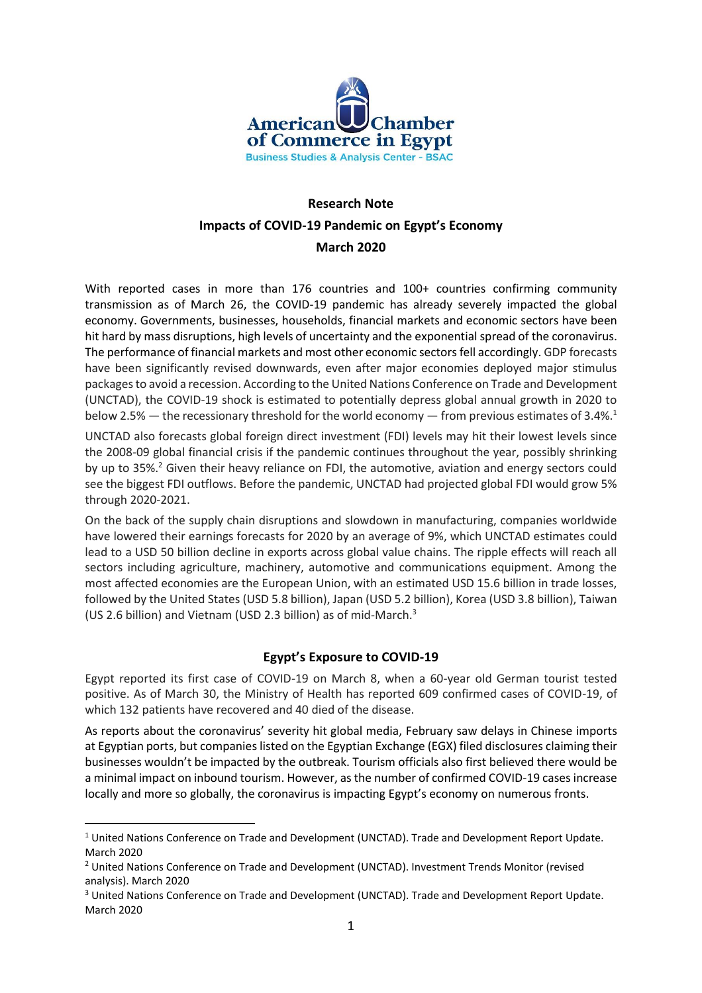

# **Research Note Impacts of COVID-19 Pandemic on Egypt's Economy March 2020**

With reported cases in more than 176 countries and 100+ countries confirming community transmission as of March 26, the COVID-19 pandemic has already severely impacted the global economy. Governments, businesses, households, financial markets and economic sectors have been hit hard by mass disruptions, high levels of uncertainty and the exponential spread of the coronavirus. The performance of financial markets and most other economic sectorsfell accordingly. GDP forecasts have been significantly revised downwards, even after major economies deployed major stimulus packages to avoid a recession. According to the United Nations Conference on Trade and Development (UNCTAD), the COVID-19 shock is estimated to potentially depress global annual growth in 2020 to below 2.5% — the recessionary threshold for the world economy — from previous estimates of 3.4%.<sup>1</sup>

UNCTAD also forecasts global foreign direct investment (FDI) levels may hit their lowest levels since the 2008-09 global financial crisis if the pandemic continues throughout the year, possibly shrinking by up to 35%.<sup>2</sup> Given their heavy reliance on FDI, the automotive, aviation and energy sectors could see the biggest FDI outflows. Before the pandemic, UNCTAD had projected global FDI would grow 5% through 2020-2021.

On the back of the supply chain disruptions and slowdown in manufacturing, companies worldwide have lowered their earnings forecasts for 2020 by an average of 9%, which UNCTAD estimates could lead to a USD 50 billion decline in exports across global value chains. The ripple effects will reach all sectors including agriculture, machinery, automotive and communications equipment. Among the most affected economies are the European Union, with an estimated USD 15.6 billion in trade losses, followed by the United States (USD 5.8 billion), Japan (USD 5.2 billion), Korea (USD 3.8 billion), Taiwan (US 2.6 billion) and Vietnam (USD 2.3 billion) as of mid-March.<sup>3</sup>

## **Egypt's Exposure to COVID-19**

Egypt reported its first case of COVID-19 on March 8, when a 60-year old German tourist tested positive. As of March 30, the Ministry of Health has reported 609 confirmed cases of COVID-19, of which 132 patients have recovered and 40 died of the disease.

As reports about the coronavirus' severity hit global media, February saw delays in Chinese imports at Egyptian ports, but companies listed on the Egyptian Exchange (EGX) filed disclosures claiming their businesses wouldn't be impacted by the outbreak. Tourism officials also first believed there would be a minimal impact on inbound tourism. However, asthe number of confirmed COVID-19 cases increase locally and more so globally, the coronavirus is impacting Egypt's economy on numerous fronts.

<sup>&</sup>lt;sup>1</sup> United Nations Conference on Trade and Development (UNCTAD). Trade and Development Report Update. March 2020

<sup>&</sup>lt;sup>2</sup> United Nations Conference on Trade and Development (UNCTAD). Investment Trends Monitor (revised analysis). March 2020

<sup>&</sup>lt;sup>3</sup> United Nations Conference on Trade and Development (UNCTAD). Trade and Development Report Update. March 2020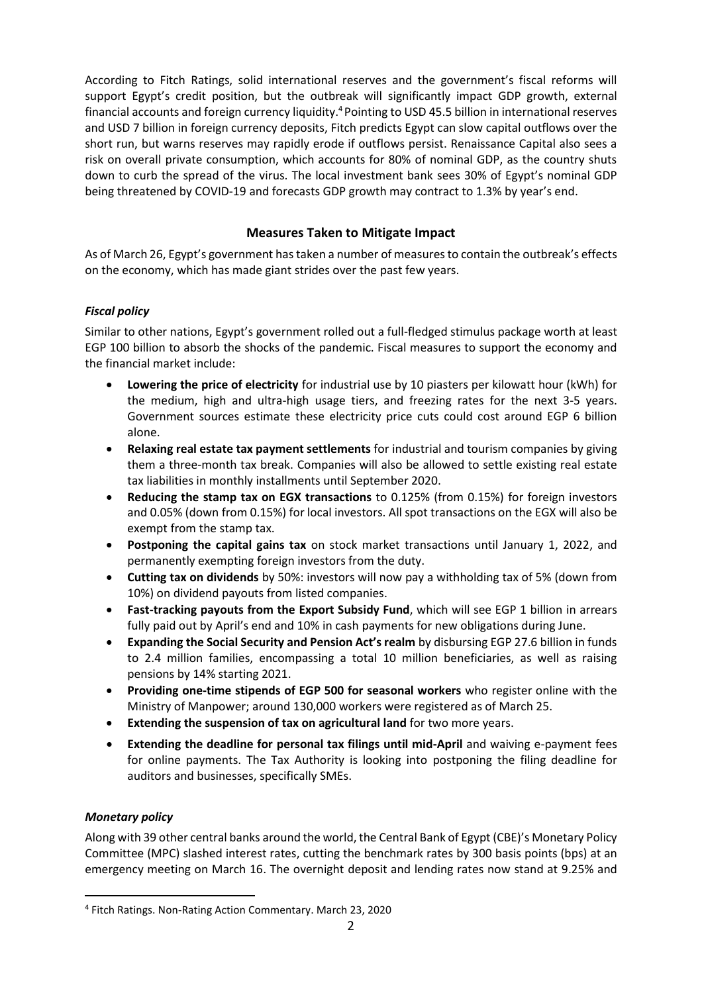According to Fitch Ratings, solid international reserves and the government's fiscal reforms will support Egypt's credit position, but the outbreak will significantly impact GDP growth, external financial accounts and foreign currency liquidity.<sup>4</sup> Pointing to USD 45.5 billion in international reserves and USD 7 billion in foreign currency deposits, Fitch predicts Egypt can slow capital outflows over the short run, but warns reserves may rapidly erode if outflows persist. Renaissance Capital also sees a risk on overall private consumption, which accounts for 80% of nominal GDP, as the country shuts down to curb the spread of the virus. The local investment bank sees 30% of Egypt's nominal GDP being threatened by COVID-19 and forecasts GDP growth may contract to 1.3% by year's end.

## **Measures Taken to Mitigate Impact**

As of March 26, Egypt's government has taken a number of measures to contain the outbreak's effects on the economy, which has made giant strides over the past few years.

#### *Fiscal policy*

Similar to other nations, Egypt's government rolled out a full-fledged stimulus package worth at least EGP 100 billion to absorb the shocks of the pandemic. Fiscal measures to support the economy and the financial market include:

- **Lowering the price of electricity** for industrial use by 10 piasters per kilowatt hour (kWh) for the medium, high and ultra-high usage tiers, and freezing rates for the next 3-5 years. Government sources estimate these electricity price cuts could cost around EGP 6 billion alone.
- **Relaxing real estate tax payment settlements** for industrial and tourism companies by giving them a three-month tax break. Companies will also be allowed to settle existing real estate tax liabilities in monthly installments until September 2020.
- **Reducing the stamp tax on EGX transactions** to 0.125% (from 0.15%) for foreign investors and 0.05% (down from 0.15%) for local investors. All spot transactions on the EGX will also be exempt from the stamp tax.
- **Postponing the capital gains tax** on stock market transactions until January 1, 2022, and permanently exempting foreign investors from the duty.
- **Cutting tax on dividends** by 50%: investors will now pay a withholding tax of 5% (down from 10%) on dividend payouts from listed companies.
- **Fast-tracking payouts from the Export Subsidy Fund**, which will see EGP 1 billion in arrears fully paid out by April's end and 10% in cash payments for new obligations during June.
- **Expanding the Social Security and Pension Act's realm** by disbursing EGP 27.6 billion in funds to 2.4 million families, encompassing a total 10 million beneficiaries, as well as raising pensions by 14% starting 2021.
- **Providing one-time stipends of EGP 500 for seasonal workers** who register online with the Ministry of Manpower; around 130,000 workers were registered as of March 25.
- **Extending the suspension of tax on agricultural land** for two more years.
- **Extending the deadline for personal tax filings until mid-April** and waiving e-payment fees for online payments. The Tax Authority is looking into postponing the filing deadline for auditors and businesses, specifically SMEs.

#### *Monetary policy*

Along with 39 other central banks around the world, the Central Bank of Egypt (CBE)'s Monetary Policy Committee (MPC) slashed interest rates, cutting the benchmark rates by 300 basis points (bps) at an emergency meeting on March 16. The overnight deposit and lending rates now stand at 9.25% and

<sup>4</sup> Fitch Ratings. Non-Rating Action Commentary. March 23, 2020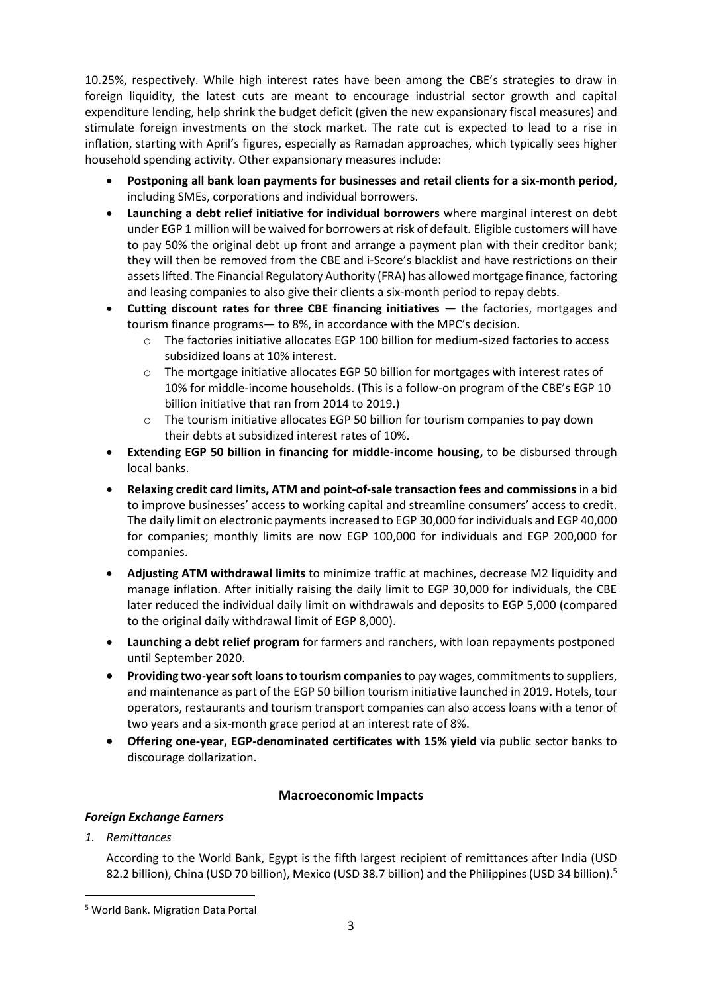10.25%, respectively. While high interest rates have been among the CBE's strategies to draw in foreign liquidity, the latest cuts are meant to encourage industrial sector growth and capital expenditure lending, help shrink the budget deficit (given the new expansionary fiscal measures) and stimulate foreign investments on the stock market. The rate cut is expected to lead to a rise in inflation, starting with April's figures, especially as Ramadan approaches, which typically sees higher household spending activity. Other expansionary measures include:

- **Postponing all bank loan payments for businesses and retail clients for a six-month period,** including SMEs, corporations and individual borrowers.
- **Launching a debt relief initiative for individual borrowers** where marginal interest on debt under EGP 1 million will be waived for borrowers at risk of default. Eligible customers will have to pay 50% the original debt up front and arrange a payment plan with their creditor bank; they will then be removed from the CBE and i-Score's blacklist and have restrictions on their assets lifted. The Financial Regulatory Authority (FRA) has allowed mortgage finance, factoring and leasing companies to also give their clients a six-month period to repay debts.
- **Cutting discount rates for three CBE financing initiatives** the factories, mortgages and tourism finance programs— to 8%, in accordance with the MPC's decision.
	- o The factories initiative allocates EGP 100 billion for medium-sized factories to access subsidized loans at 10% interest.
	- $\circ$  The mortgage initiative allocates EGP 50 billion for mortgages with interest rates of 10% for middle-income households. (This is a follow-on program of the CBE's EGP 10 billion initiative that ran from 2014 to 2019.)
	- The tourism initiative allocates EGP 50 billion for tourism companies to pay down their debts at subsidized interest rates of 10%.
- **Extending EGP 50 billion in financing for middle-income housing,** to be disbursed through local banks.
- **Relaxing credit card limits, ATM and point-of-sale transaction fees and commissions** in a bid to improve businesses' access to working capital and streamline consumers' access to credit. The daily limit on electronic payments increased to EGP 30,000 for individuals and EGP 40,000 for companies; monthly limits are now EGP 100,000 for individuals and EGP 200,000 for companies.
- **Adjusting ATM withdrawal limits** to minimize traffic at machines, decrease M2 liquidity and manage inflation. After initially raising the daily limit to EGP 30,000 for individuals, the CBE later reduced the individual daily limit on withdrawals and deposits to EGP 5,000 (compared to the original daily withdrawal limit of EGP 8,000).
- **Launching a debt relief program** for farmers and ranchers, with loan repayments postponed until September 2020.
- **Providing two-year soft loans to tourism companies** to pay wages, commitments to suppliers, and maintenance as part of the EGP 50 billion tourism initiative launched in 2019. Hotels, tour operators, restaurants and tourism transport companies can also access loans with a tenor of two years and a six-month grace period at an interest rate of 8%.
- **Offering one-year, EGP-denominated certificates with 15% yield** via public sector banks to discourage dollarization.

## **Macroeconomic Impacts**

#### *Foreign Exchange Earners*

*1. Remittances*

According to the World Bank, Egypt is the fifth largest recipient of remittances after India (USD 82.2 billion), China (USD 70 billion), Mexico (USD 38.7 billion) and the Philippines (USD 34 billion).<sup>5</sup>

<sup>5</sup> World Bank. Migration Data Portal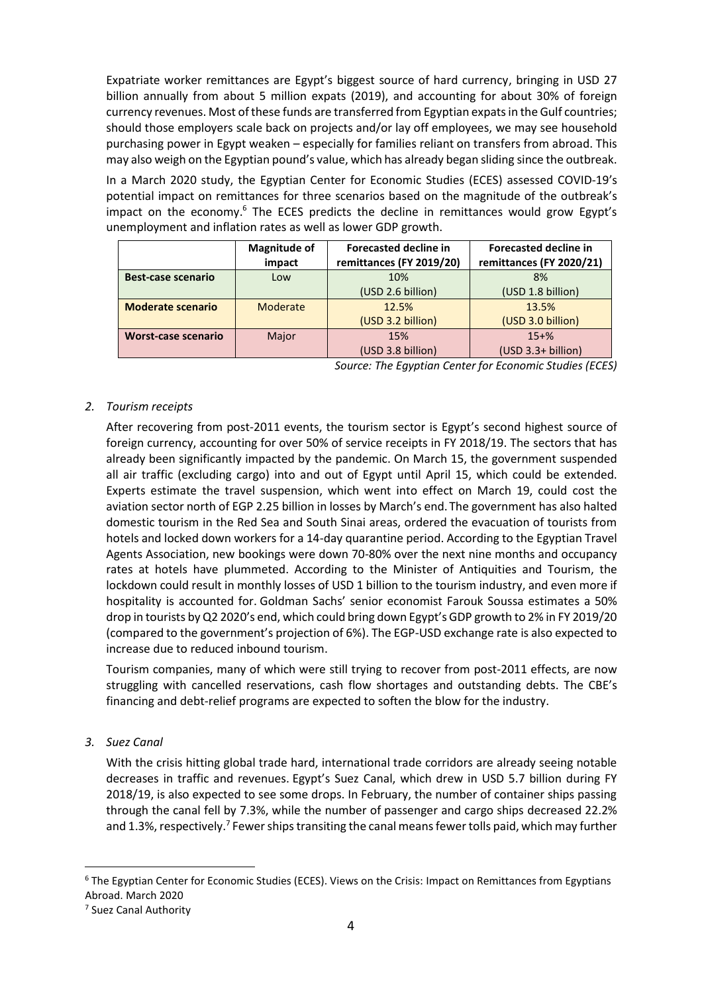Expatriate worker remittances are Egypt's biggest source of hard currency, bringing in USD 27 billion annually from about 5 million expats (2019), and accounting for about 30% of foreign currency revenues. Most of these funds are transferred from Egyptian expats in the Gulf countries; should those employers scale back on projects and/or lay off employees, we may see household purchasing power in Egypt weaken – especially for families reliant on transfers from abroad. This may also weigh on the Egyptian pound's value, which has already began sliding since the outbreak.

In a March 2020 study, the Egyptian Center for Economic Studies (ECES) assessed COVID-19's potential impact on remittances for three scenarios based on the magnitude of the outbreak's impact on the economy.<sup>6</sup> The ECES predicts the decline in remittances would grow Egypt's unemployment and inflation rates as well as lower GDP growth.

|                            | <b>Magnitude of</b><br>impact | <b>Forecasted decline in</b><br>remittances (FY 2019/20) | <b>Forecasted decline in</b><br>remittances (FY 2020/21) |
|----------------------------|-------------------------------|----------------------------------------------------------|----------------------------------------------------------|
| <b>Best-case scenario</b>  | Low                           | 10%                                                      | 8%                                                       |
|                            |                               | (USD 2.6 billion)                                        | (USD 1.8 billion)                                        |
| <b>Moderate scenario</b>   | Moderate                      | 12.5%                                                    | 13.5%                                                    |
|                            |                               | (USD 3.2 billion)                                        | (USD 3.0 billion)                                        |
| <b>Worst-case scenario</b> | Major                         | 15%                                                      | $15 + \%$                                                |
|                            |                               | (USD 3.8 billion)                                        | $(USD 3.3+ billion)$                                     |

*Source: The Egyptian Center for Economic Studies (ECES)*

#### *2. Tourism receipts*

After recovering from post-2011 events, the tourism sector is Egypt's second highest source of foreign currency, accounting for over 50% of service receipts in FY 2018/19. The sectors that has already been significantly impacted by the pandemic. On March 15, the government suspended all air traffic (excluding cargo) into and out of Egypt until April 15, which could be extended. Experts estimate the travel suspension, which went into effect on March 19, could cost the aviation sector north of EGP 2.25 billion in losses by March's end. The government has also halted domestic tourism in the Red Sea and South Sinai areas, ordered the evacuation of tourists from hotels and locked down workers for a 14-day quarantine period. According to the Egyptian Travel Agents Association, new bookings were down 70-80% over the next nine months and occupancy rates at hotels have plummeted. According to the Minister of Antiquities and Tourism, the lockdown could result in monthly losses of USD 1 billion to the tourism industry, and even more if hospitality is accounted for. Goldman Sachs' senior economist Farouk Soussa estimates a 50% drop in tourists by Q2 2020's end, which could bring down Egypt's GDP growth to 2% in FY 2019/20 (compared to the government's projection of 6%). The EGP-USD exchange rate is also expected to increase due to reduced inbound tourism.

Tourism companies, many of which were still trying to recover from post-2011 effects, are now struggling with cancelled reservations, cash flow shortages and outstanding debts. The CBE's financing and debt-relief programs are expected to soften the blow for the industry.

*3. Suez Canal*

With the crisis hitting global trade hard, international trade corridors are already seeing notable decreases in traffic and revenues. Egypt's Suez Canal, which drew in USD 5.7 billion during FY 2018/19, is also expected to see some drops. In February, the number of container ships passing through the canal fell by 7.3%, while the number of passenger and cargo ships decreased 22.2% and 1.3%, respectively.<sup>7</sup> Fewer ships transiting the canal means fewer tolls paid, which may further

<sup>&</sup>lt;sup>6</sup> The Egyptian Center for Economic Studies (ECES). Views on the Crisis: Impact on Remittances from Egyptians Abroad. March 2020

<sup>7</sup> Suez Canal Authority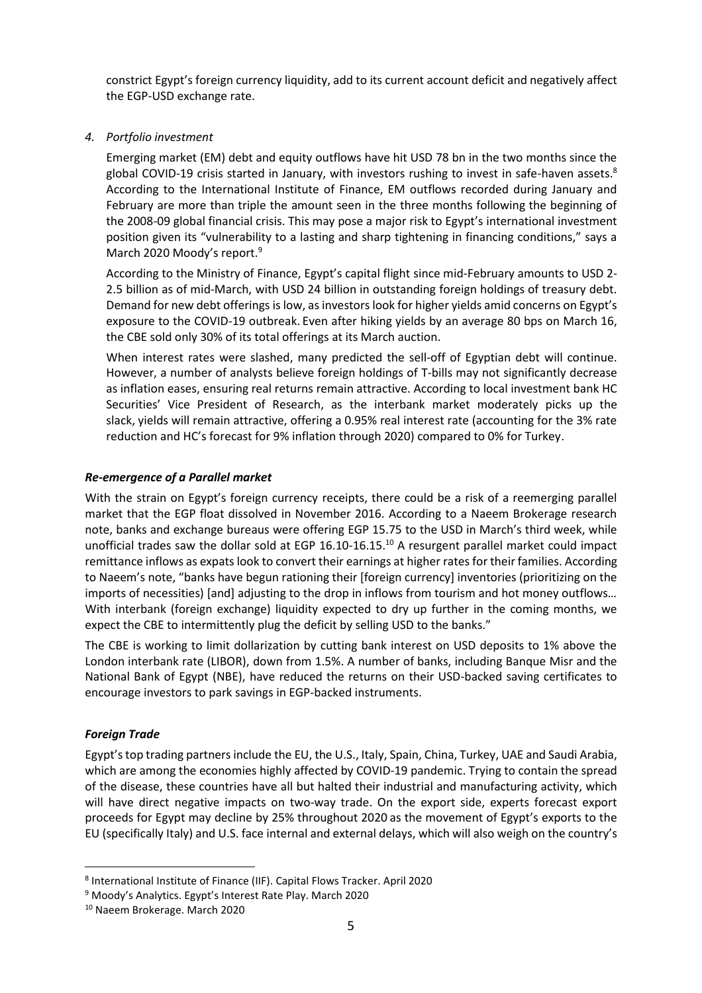constrict Egypt's foreign currency liquidity, add to its current account deficit and negatively affect the EGP-USD exchange rate.

#### *4. Portfolio investment*

Emerging market (EM) debt and equity outflows have hit USD 78 bn in the two months since the global COVID-19 crisis started in January, with investors rushing to invest in safe-haven assets.<sup>8</sup> According to the International Institute of Finance, EM outflows recorded during January and February are more than triple the amount seen in the three months following the beginning of the 2008-09 global financial crisis. This may pose a major risk to Egypt's international investment position given its "vulnerability to a lasting and sharp tightening in financing conditions," says a March 2020 Moody's report.<sup>9</sup>

According to the Ministry of Finance, Egypt's capital flight since mid-February amounts to USD 2- 2.5 billion as of mid-March, with USD 24 billion in outstanding foreign holdings of treasury debt. Demand for new debt offerings is low, as investors look for higher yields amid concerns on Egypt's exposure to the COVID-19 outbreak. Even after hiking yields by an average 80 bps on March 16, the CBE sold only 30% of its total offerings at its March auction.

When interest rates were slashed, many predicted the sell-off of Egyptian debt will continue. However, a number of analysts believe foreign holdings of T-bills may not significantly decrease as inflation eases, ensuring real returns remain attractive. According to local investment bank HC Securities' Vice President of Research, as the interbank market moderately picks up the slack, yields will remain attractive, offering a 0.95% real interest rate (accounting for the 3% rate reduction and HC's forecast for 9% inflation through 2020) compared to 0% for Turkey.

#### *Re-emergence of a Parallel market*

With the strain on Egypt's foreign currency receipts, there could be a risk of a reemerging parallel market that the EGP float dissolved in November 2016. According to a Naeem Brokerage research note, banks and exchange bureaus were offering EGP 15.75 to the USD in March's third week, while unofficial trades saw the dollar sold at EGP 16.10-16.15.<sup>10</sup> A resurgent parallel market could impact remittance inflows as expats look to convert their earnings at higher rates for their families. According to Naeem's note, "banks have begun rationing their [foreign currency] inventories (prioritizing on the imports of necessities) [and] adjusting to the drop in inflows from tourism and hot money outflows… With interbank (foreign exchange) liquidity expected to dry up further in the coming months, we expect the CBE to intermittently plug the deficit by selling USD to the banks."

The CBE is working to limit dollarization by cutting bank interest on USD deposits to 1% above the London interbank rate (LIBOR), down from 1.5%. A number of banks, including Banque Misr and the National Bank of Egypt (NBE), have reduced the returns on their USD-backed saving certificates to encourage investors to park savings in EGP-backed instruments.

#### *Foreign Trade*

Egypt's top trading partners include the EU, the U.S., Italy, Spain, China, Turkey, UAE and Saudi Arabia, which are among the economies highly affected by COVID-19 pandemic. Trying to contain the spread of the disease, these countries have all but halted their industrial and manufacturing activity, which will have direct negative impacts on two-way trade. On the export side, experts forecast export proceeds for Egypt may decline by 25% throughout 2020 as the movement of Egypt's exports to the EU (specifically Italy) and U.S. face internal and external delays, which will also weigh on the country's

<sup>8</sup> International Institute of Finance (IIF). Capital Flows Tracker. April 2020

<sup>9</sup> Moody's Analytics. Egypt's Interest Rate Play. March 2020

<sup>10</sup> Naeem Brokerage. March 2020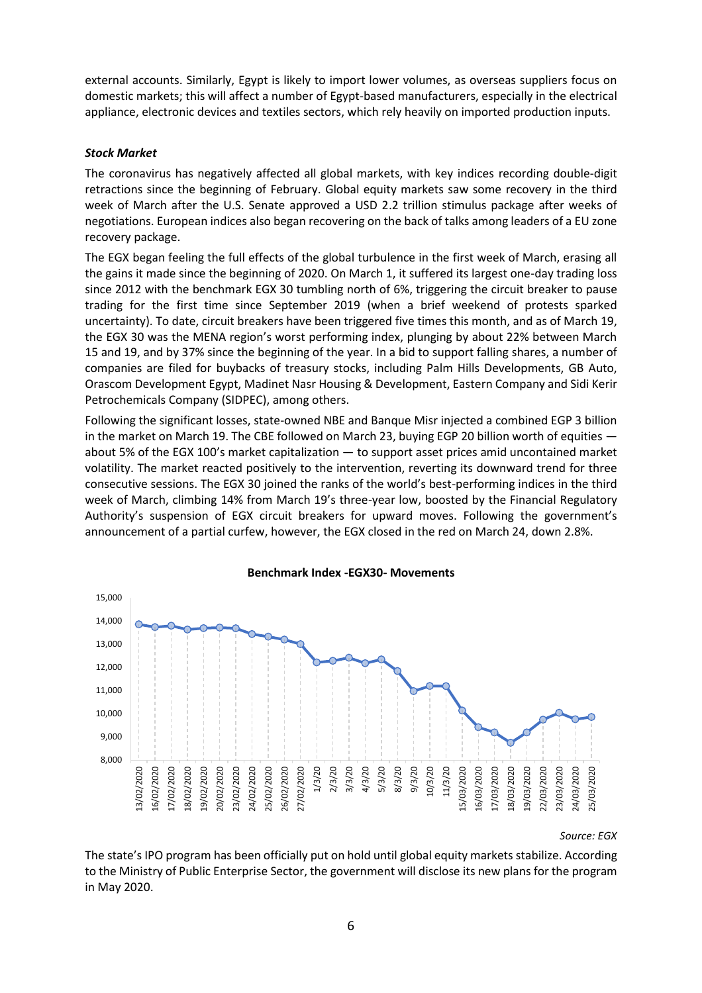external accounts. Similarly, Egypt is likely to import lower volumes, as overseas suppliers focus on domestic markets; this will affect a number of Egypt-based manufacturers, especially in the electrical appliance, electronic devices and textiles sectors, which rely heavily on imported production inputs.

#### *Stock Market*

The coronavirus has negatively affected all global markets, with key indices recording double-digit retractions since the beginning of February. Global equity markets saw some recovery in the third week of March after the U.S. Senate approved a USD 2.2 trillion stimulus package after weeks of negotiations. European indices also began recovering on the back of talks among leaders of a EU zone recovery package.

The EGX began feeling the full effects of the global turbulence in the first week of March, erasing all the gains it made since the beginning of 2020. On March 1, it suffered its largest one-day trading loss since 2012 with the benchmark EGX 30 tumbling north of 6%, triggering the circuit breaker to pause trading for the first time since September 2019 (when a brief weekend of protests sparked uncertainty). To date, circuit breakers have been triggered five times this month, and as of March 19, the EGX 30 was the MENA region's worst performing index, plunging by about 22% between March 15 and 19, and by 37% since the beginning of the year. In a bid to support falling shares, a number of companies are filed for buybacks of treasury stocks, including Palm Hills Developments, GB Auto, Orascom Development Egypt, Madinet Nasr Housing & Development, Eastern Company and Sidi Kerir Petrochemicals Company (SIDPEC), among others.

Following the significant losses, state-owned NBE and Banque Misr injected a combined EGP 3 billion in the market on March 19. The CBE followed on March 23, buying EGP 20 billion worth of equities about 5% of the EGX 100's market capitalization — to support asset prices amid uncontained market volatility. The market reacted positively to the intervention, reverting its downward trend for three consecutive sessions. The EGX 30 joined the ranks of the world's best-performing indices in the third week of March, climbing 14% from March 19's three-year low, boosted by the Financial Regulatory Authority's suspension of EGX circuit breakers for upward moves. Following the government's announcement of a partial curfew, however, the EGX closed in the red on March 24, down 2.8%.



#### **Benchmark Index -EGX30- Movements**

*Source: EGX*

The state's IPO program has been officially put on hold until global equity markets stabilize. According to the Ministry of Public Enterprise Sector, the government will disclose its new plans for the program in May 2020.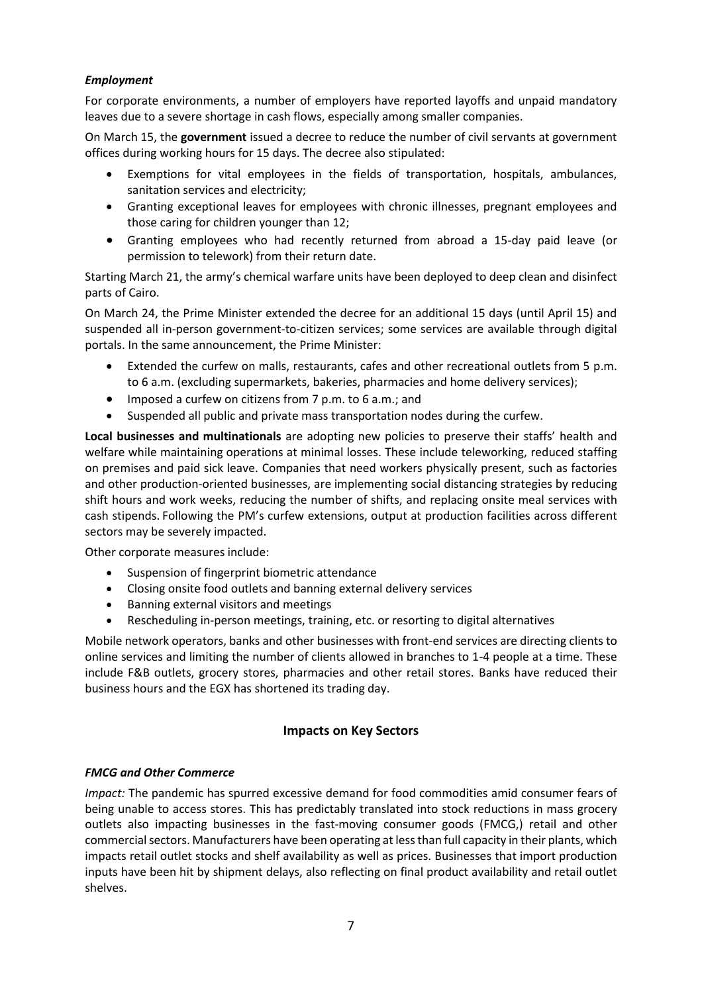### *Employment*

For corporate environments, a number of employers have reported layoffs and unpaid mandatory leaves due to a severe shortage in cash flows, especially among smaller companies.

On March 15, the **government** issued a decree to reduce the number of civil servants at government offices during working hours for 15 days. The decree also stipulated:

- Exemptions for vital employees in the fields of transportation, hospitals, ambulances, sanitation services and electricity;
- Granting exceptional leaves for employees with chronic illnesses, pregnant employees and those caring for children younger than 12;
- Granting employees who had recently returned from abroad a 15-day paid leave (or permission to telework) from their return date.

Starting March 21, the army's chemical warfare units have been deployed to deep clean and disinfect parts of Cairo.

On March 24, the Prime Minister extended the decree for an additional 15 days (until April 15) and suspended all in-person government-to-citizen services; some services are available through digital portals. In the same announcement, the Prime Minister:

- Extended the curfew on malls, restaurants, cafes and other recreational outlets from 5 p.m. to 6 a.m. (excluding supermarkets, bakeries, pharmacies and home delivery services);
- Imposed a curfew on citizens from 7 p.m. to 6 a.m.; and
- Suspended all public and private mass transportation nodes during the curfew.

**Local businesses and multinationals** are adopting new policies to preserve their staffs' health and welfare while maintaining operations at minimal losses. These include teleworking, reduced staffing on premises and paid sick leave. Companies that need workers physically present, such as factories and other production-oriented businesses, are implementing social distancing strategies by reducing shift hours and work weeks, reducing the number of shifts, and replacing onsite meal services with cash stipends. Following the PM's curfew extensions, output at production facilities across different sectors may be severely impacted.

Other corporate measures include:

- Suspension of fingerprint biometric attendance
- Closing onsite food outlets and banning external delivery services
- Banning external visitors and meetings
- Rescheduling in-person meetings, training, etc. or resorting to digital alternatives

Mobile network operators, banks and other businesses with front-end services are directing clients to online services and limiting the number of clients allowed in branches to 1-4 people at a time. These include F&B outlets, grocery stores, pharmacies and other retail stores. Banks have reduced their business hours and the EGX has shortened its trading day.

#### **Impacts on Key Sectors**

#### *FMCG and Other Commerce*

*Impact:* The pandemic has spurred excessive demand for food commodities amid consumer fears of being unable to access stores. This has predictably translated into stock reductions in mass grocery outlets also impacting businesses in the fast-moving consumer goods (FMCG,) retail and other commercial sectors. Manufacturers have been operating at less than full capacity in their plants, which impacts retail outlet stocks and shelf availability as well as prices. Businesses that import production inputs have been hit by shipment delays, also reflecting on final product availability and retail outlet shelves.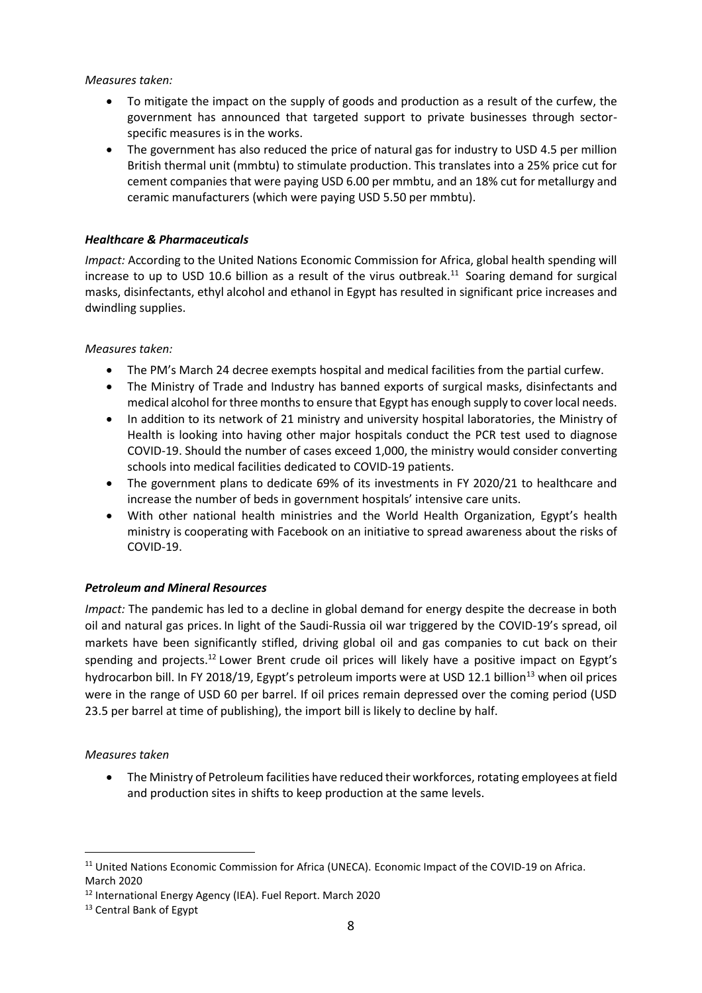#### *Measures taken:*

- To mitigate the impact on the supply of goods and production as a result of the curfew, the government has announced that targeted support to private businesses through sectorspecific measures is in the works.
- The government has also reduced the price of natural gas for industry to USD 4.5 per million British thermal unit (mmbtu) to stimulate production. This translates into a 25% price cut for cement companies that were paying USD 6.00 per mmbtu, and an 18% cut for metallurgy and ceramic manufacturers (which were paying USD 5.50 per mmbtu).

### *Healthcare & Pharmaceuticals*

*Impact:* According to the United Nations Economic Commission for Africa, global health spending will increase to up to USD 10.6 billion as a result of the virus outbreak.<sup>11</sup> Soaring demand for surgical masks, disinfectants, ethyl alcohol and ethanol in Egypt has resulted in significant price increases and dwindling supplies.

#### *Measures taken:*

- The PM's March 24 decree exempts hospital and medical facilities from the partial curfew.
- The Ministry of Trade and Industry has banned exports of surgical masks, disinfectants and medical alcohol for three months to ensure that Egypt has enough supply to cover local needs.
- In addition to its network of 21 ministry and university hospital laboratories, the Ministry of Health is looking into having other major hospitals conduct the PCR test used to diagnose COVID-19. Should the number of cases exceed 1,000, the ministry would consider converting schools into medical facilities dedicated to COVID-19 patients.
- The government plans to dedicate 69% of its investments in FY 2020/21 to healthcare and increase the number of beds in government hospitals' intensive care units.
- With other national health ministries and the World Health Organization, Egypt's health ministry is cooperating with Facebook on an initiative to spread awareness about the risks of COVID-19.

#### *Petroleum and Mineral Resources*

*Impact:* The pandemic has led to a decline in global demand for energy despite the decrease in both oil and natural gas prices. In light of the Saudi-Russia oil war triggered by the COVID-19's spread, oil markets have been significantly stifled, driving global oil and gas companies to cut back on their spending and projects.<sup>12</sup> Lower Brent crude oil prices will likely have a positive impact on Egypt's hydrocarbon bill. In FY 2018/19, Egypt's petroleum imports were at USD 12.1 billion<sup>13</sup> when oil prices were in the range of USD 60 per barrel. If oil prices remain depressed over the coming period (USD 23.5 per barrel at time of publishing), the import bill is likely to decline by half.

#### *Measures taken*

• The Ministry of Petroleum facilities have reduced their workforces, rotating employees at field and production sites in shifts to keep production at the same levels.

<sup>&</sup>lt;sup>11</sup> United Nations Economic Commission for Africa (UNECA). Economic Impact of the COVID-19 on Africa. March 2020

<sup>12</sup> International Energy Agency (IEA). Fuel Report. March 2020

<sup>&</sup>lt;sup>13</sup> Central Bank of Egypt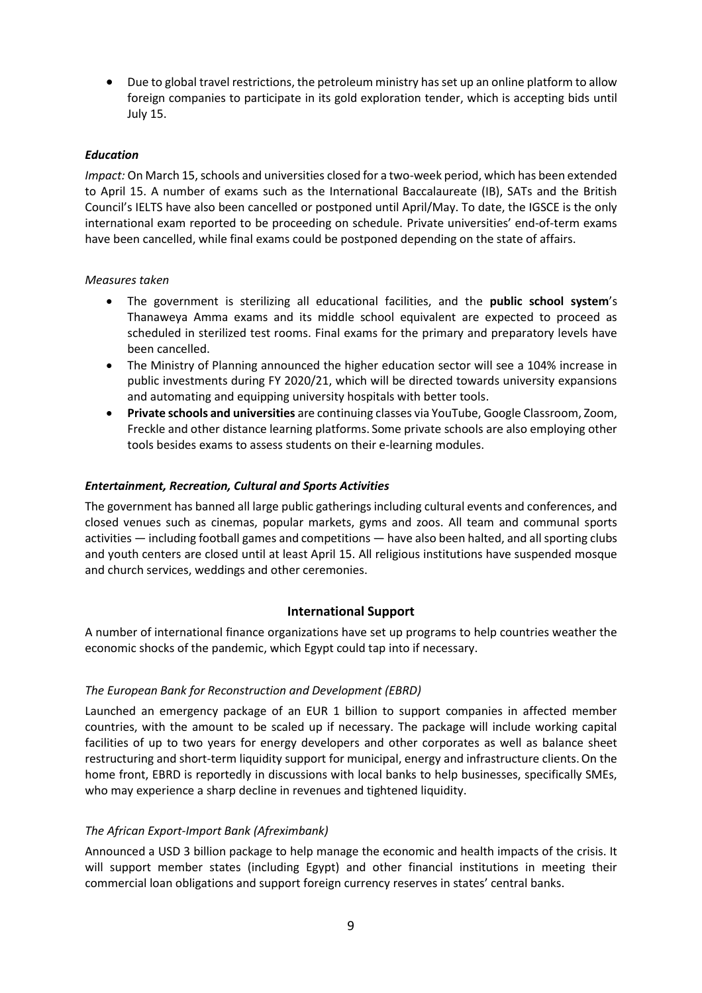• Due to global travel restrictions, the petroleum ministry hasset up an online platform to allow foreign companies to participate in its gold exploration tender, which is accepting bids until July 15.

#### *Education*

*Impact:* On March 15, schools and universities closed for a two-week period, which has been extended to April 15. A number of exams such as the International Baccalaureate (IB), SATs and the British Council's IELTS have also been cancelled or postponed until April/May. To date, the IGSCE is the only international exam reported to be proceeding on schedule. Private universities' end-of-term exams have been cancelled, while final exams could be postponed depending on the state of affairs.

#### *Measures taken*

- The government is sterilizing all educational facilities, and the **public school system**'s Thanaweya Amma exams and its middle school equivalent are expected to proceed as scheduled in sterilized test rooms. Final exams for the primary and preparatory levels have been cancelled.
- The Ministry of Planning announced the higher education sector will see a 104% increase in public investments during FY 2020/21, which will be directed towards university expansions and automating and equipping university hospitals with better tools.
- **Private schools and universities** are continuing classes via YouTube, Google Classroom, Zoom, Freckle and other distance learning platforms. Some private schools are also employing other tools besides exams to assess students on their e-learning modules.

#### *Entertainment, Recreation, Cultural and Sports Activities*

The government has banned all large public gatherings including cultural events and conferences, and closed venues such as cinemas, popular markets, gyms and zoos. All team and communal sports activities — including football games and competitions — have also been halted, and all sporting clubs and youth centers are closed until at least April 15. All religious institutions have suspended mosque and church services, weddings and other ceremonies.

#### **International Support**

A number of international finance organizations have set up programs to help countries weather the economic shocks of the pandemic, which Egypt could tap into if necessary.

#### *The European Bank for Reconstruction and Development (EBRD)*

Launched an emergency package of an EUR 1 billion to support companies in affected member countries, with the amount to be scaled up if necessary. The package will include working capital facilities of up to two years for energy developers and other corporates as well as balance sheet restructuring and short-term liquidity support for municipal, energy and infrastructure clients.On the home front, EBRD is reportedly in discussions with local banks to help businesses, specifically SMEs, who may experience a sharp decline in revenues and tightened liquidity.

#### *The African Export-Import Bank (Afreximbank)*

Announced a USD 3 billion package to help manage the economic and health impacts of the crisis. It will support member states (including Egypt) and other financial institutions in meeting their commercial loan obligations and support foreign currency reserves in states' central banks.